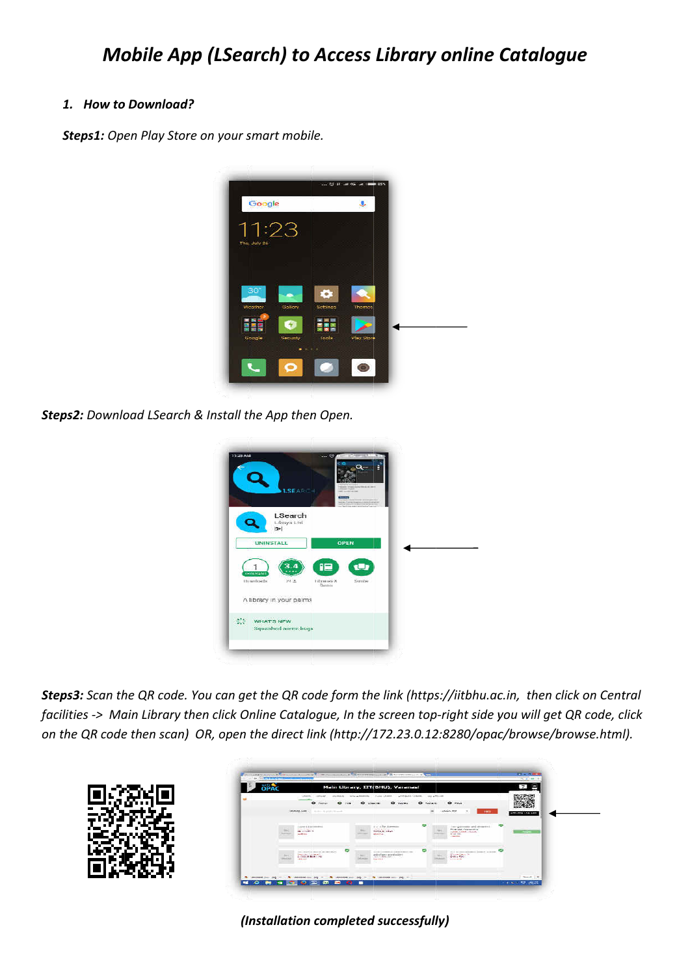## 1. How to Download?

Steps1: Open Play Store on your smart mobile.



Steps2: Download LSearch & Install the App then Open.



Steps3: Scan the QR code. You can get the QR code form the link (https://iitbhu.ac.in, then click on Central facilities -> Main Library then click Online Catalogue, In the screen top-right side you will get QR code, click on the QR code then scan) OR, open the direct link (http://172.23.0.12:8280/opac/browse/browse.html).



(Installation completed successfully)